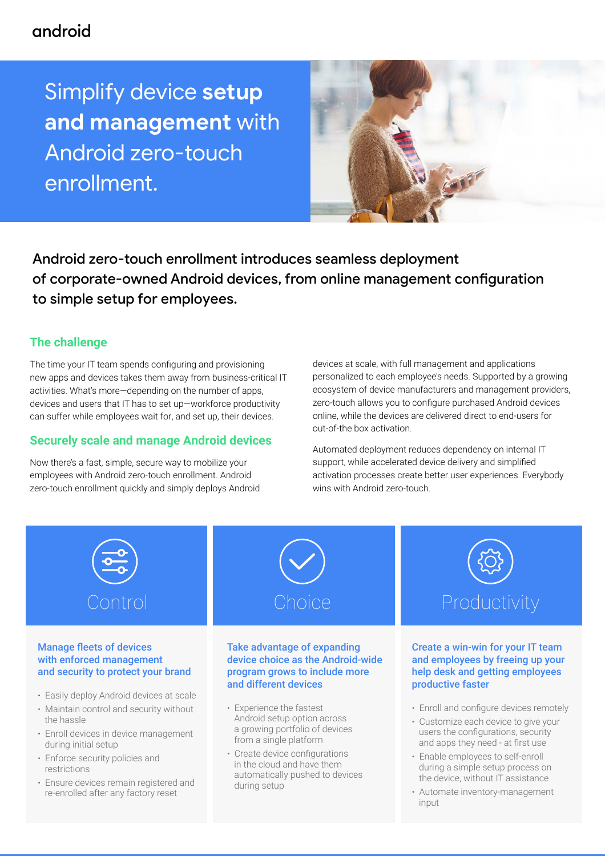## android

Simplify device **setup and management** with Android zero-touch enrollment.



Android zero-touch enrollment introduces seamless deployment of corporate-owned Android devices, from online management configuration to simple setup for employees.

### **The challenge**

the hassle

restrictions

during initial setup

· Enforce security policies and

· Ensure devices remain registered and re-enrolled after any factory reset

The time your IT team spends configuring and provisioning new apps and devices takes them away from business-critical IT activities. What's more—depending on the number of apps, devices and users that IT has to set up—workforce productivity can suffer while employees wait for, and set up, their devices.

### **Securely scale and manage Android devices**

Now there's a fast, simple, secure way to mobilize your employees with Android zero-touch enrollment. Android zero-touch enrollment quickly and simply deploys Android devices at scale, with full management and applications personalized to each employee's needs. Supported by a growing ecosystem of device manufacturers and management providers, zero-touch allows you to configure purchased Android devices online, while the devices are delivered direct to end-users for out-of-the box activation.

Automated deployment reduces dependency on internal IT support, while accelerated device delivery and simplified activation processes create better user experiences. Everybody wins with Android zero-touch.



- · Enroll devices in device management Android setup option across a growing portfolio of devices from a single platform
	- · Create device configurations in the cloud and have them automatically pushed to devices during setup
- · Enroll and configure devices remotely
- · Customize each device to give your users the configurations, security and apps they need - at first use
- · Enable employees to self-enroll during a simple setup process on the device, without IT assistance
- · Automate inventory-management input